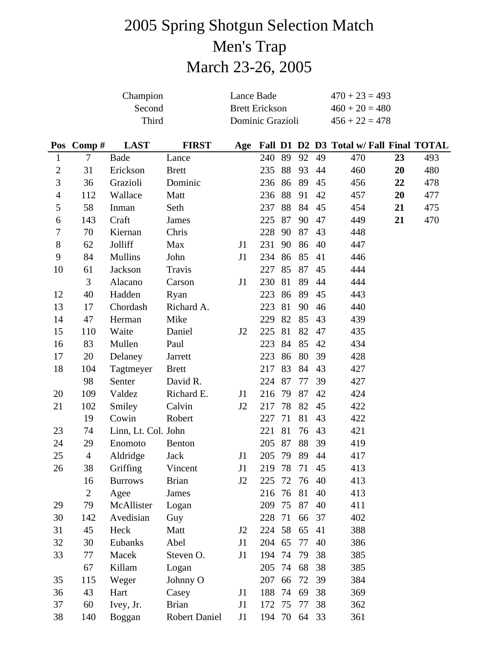# 2005 Spring Shotgun Selection Match Men's Trap March 23-26, 2005

|                  |                | Champion            |                      | Lance Bade            |              |    |    |    | $470 + 23 = 493$                        |    |     |  |
|------------------|----------------|---------------------|----------------------|-----------------------|--------------|----|----|----|-----------------------------------------|----|-----|--|
|                  |                | Second              |                      | <b>Brett Erickson</b> |              |    |    |    | $460 + 20 = 480$                        |    |     |  |
|                  |                | Third               |                      | Dominic Grazioli      |              |    |    |    | $456 + 22 = 478$                        |    |     |  |
|                  |                |                     |                      |                       |              |    |    |    |                                         |    |     |  |
| Pos              | Comp#          | <b>LAST</b>         | <b>FIRST</b>         | Age                   |              |    |    |    | Fall D1 D2 D3 Total w/ Fall Final TOTAL |    |     |  |
| $\mathbf{1}$     | $\tau$         | Bade                | Lance                |                       | 240          | 89 | 92 | 49 | 470                                     | 23 | 493 |  |
| $\mathfrak{2}$   | 31             | Erickson            | <b>Brett</b>         |                       | 235          | 88 | 93 | 44 | 460                                     | 20 | 480 |  |
| 3                | 36             | Grazioli            | Dominic              |                       | 236          | 86 | 89 | 45 | 456                                     | 22 | 478 |  |
| $\overline{4}$   | 112            | Wallace             | Matt                 |                       | 236          | 88 | 91 | 42 | 457                                     | 20 | 477 |  |
| 5                | 58             | Inman               | Seth                 |                       | 237          | 88 | 84 | 45 | 454                                     | 21 | 475 |  |
| 6                | 143            | Craft               | James                |                       | 225          | 87 | 90 | 47 | 449                                     | 21 | 470 |  |
| $\boldsymbol{7}$ | 70             | Kiernan             | Chris                |                       | 228          | 90 | 87 | 43 | 448                                     |    |     |  |
| $8\,$            | 62             | Jolliff             | Max                  | J1                    | 231          | 90 | 86 | 40 | 447                                     |    |     |  |
| 9                | 84             | <b>Mullins</b>      | John                 | J1                    | 234          | 86 | 85 | 41 | 446                                     |    |     |  |
| 10               | 61             | Jackson             | Travis               |                       | 227          | 85 | 87 | 45 | 444                                     |    |     |  |
|                  | 3              | Alacano             | Carson               | J1                    | 230          | 81 | 89 | 44 | 444                                     |    |     |  |
| 12               | 40             | Hadden              | Ryan                 |                       | 223          | 86 | 89 | 45 | 443                                     |    |     |  |
| 13               | 17             | Chordash            | Richard A.           |                       | 223          | 81 | 90 | 46 | 440                                     |    |     |  |
| 14               | 47             | Herman              | Mike                 |                       | 229          | 82 | 85 | 43 | 439                                     |    |     |  |
| 15               | 110            | Waite               | Daniel               | J2                    | 225          | 81 | 82 | 47 | 435                                     |    |     |  |
| 16               | 83             | Mullen              | Paul                 |                       | 223          | 84 | 85 | 42 | 434                                     |    |     |  |
| 17               | 20             | Delaney             | Jarrett              |                       | 223          | 86 | 80 | 39 | 428                                     |    |     |  |
| 18               | 104            | Tagtmeyer           | <b>Brett</b>         |                       | 217          | 83 | 84 | 43 | 427                                     |    |     |  |
|                  | 98             | Senter              | David R.             |                       | 224          | 87 | 77 | 39 | 427                                     |    |     |  |
| 20               | 109            | Valdez              | Richard E.           | J1                    | 216          | 79 | 87 | 42 | 424                                     |    |     |  |
| 21               | 102            | Smiley              | Calvin               | J2                    | 217          | 78 | 82 | 45 | 422                                     |    |     |  |
|                  | 19             | Cowin               | Robert               |                       | 227          | 71 | 81 | 43 | 422                                     |    |     |  |
| 23               | 74             | Linn, Lt. Col. John |                      |                       | 221          | 81 | 76 | 43 | 421                                     |    |     |  |
| 24               | 29             | Enomoto             | Benton               |                       | 205          | 87 | 88 | 39 | 419                                     |    |     |  |
| 25               | $\overline{4}$ | Aldridge Jack       |                      | J1                    | 205 79 89 44 |    |    |    | 417                                     |    |     |  |
| 26               | 38             | Griffing            | Vincent              | J1                    | 219 78       |    | 71 | 45 | 413                                     |    |     |  |
|                  | 16             | <b>Burrows</b>      | <b>Brian</b>         | J2                    | 225          | 72 | 76 | 40 | 413                                     |    |     |  |
|                  | $\overline{2}$ | Agee                | James                |                       | 216 76       |    | 81 | 40 | 413                                     |    |     |  |
| 29               | 79             | McAllister          | Logan                |                       | 209          | 75 | 87 | 40 | 411                                     |    |     |  |
| 30               | 142            | Avedisian           | Guy                  |                       | 228          | 71 | 66 | 37 | 402                                     |    |     |  |
| 31               | 45             | Heck                | Matt                 | J2                    | 224 58       |    | 65 | 41 | 388                                     |    |     |  |
| 32               | 30             | Eubanks             | Abel                 | J1                    | 204 65       |    | 77 | 40 | 386                                     |    |     |  |
| 33               | 77             | Macek               | Steven O.            | J1                    | 194          | 74 | 79 | 38 | 385                                     |    |     |  |
|                  | 67             | Killam              | Logan                |                       | 205          | 74 | 68 | 38 | 385                                     |    |     |  |
| 35               | 115            | Weger               | Johnny O             |                       | 207          | 66 | 72 | 39 | 384                                     |    |     |  |
| 36               | 43             | Hart                | Casey                | J1                    | 188          | 74 | 69 | 38 | 369                                     |    |     |  |
| 37               | 60             | Ivey, Jr.           | <b>Brian</b>         | J1                    | 172          | 75 | 77 | 38 | 362                                     |    |     |  |
| 38               | 140            | Boggan              | <b>Robert Daniel</b> | J1                    | 194 70       |    | 64 | 33 | 361                                     |    |     |  |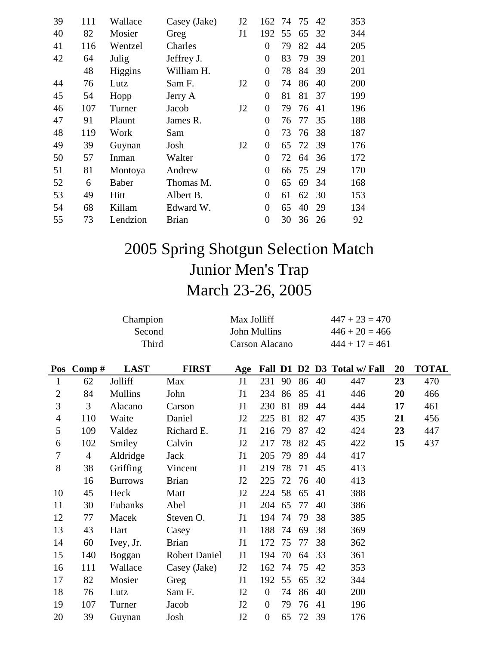| 39 | 111 | Wallace  | Casey (Jake) | J2 | 162            | 74 | 75 | 42 | 353 |
|----|-----|----------|--------------|----|----------------|----|----|----|-----|
| 40 | 82  | Mosier   | Greg         | J1 | 192            | 55 | 65 | 32 | 344 |
| 41 | 116 | Wentzel  | Charles      |    | 0              | 79 | 82 | 44 | 205 |
| 42 | 64  | Julig    | Jeffrey J.   |    | $\overline{0}$ | 83 | 79 | 39 | 201 |
|    | 48  | Higgins  | William H.   |    | $\overline{0}$ | 78 | 84 | 39 | 201 |
| 44 | 76  | Lutz     | Sam F.       | J2 | $\theta$       | 74 | 86 | 40 | 200 |
| 45 | 54  | Hopp     | Jerry A      |    | $\Omega$       | 81 | 81 | 37 | 199 |
| 46 | 107 | Turner   | Jacob        | J2 | $\theta$       | 79 | 76 | 41 | 196 |
| 47 | 91  | Plaunt   | James R.     |    | $\overline{0}$ | 76 | 77 | 35 | 188 |
| 48 | 119 | Work     | Sam          |    | $\overline{0}$ | 73 | 76 | 38 | 187 |
| 49 | 39  | Guynan   | Josh         | J2 | $\theta$       | 65 | 72 | 39 | 176 |
| 50 | 57  | Inman    | Walter       |    | $\overline{0}$ | 72 | 64 | 36 | 172 |
| 51 | 81  | Montoya  | Andrew       |    | $\overline{0}$ | 66 | 75 | 29 | 170 |
| 52 | 6   | Baber    | Thomas M.    |    | $\overline{0}$ | 65 | 69 | 34 | 168 |
| 53 | 49  | Hitt     | Albert B.    |    | $\theta$       | 61 | 62 | 30 | 153 |
| 54 | 68  | Killam   | Edward W.    |    | $\overline{0}$ | 65 | 40 | 29 | 134 |
| 55 | 73  | Lendzion | <b>Brian</b> |    | $\overline{0}$ | 30 | 36 | 26 | 92  |
|    |     |          |              |    |                |    |    |    |     |

# 2005 Spring Shotgun Selection Match Junior Men's Trap March 23-26, 2005

|                  |                | Max Jolliff<br><b>John Mullins</b><br><b>Carson Alacano</b> |                      |     |                  |    | $447 + 23 = 470$<br>$446 + 20 = 466$<br>$444 + 17 = 461$ |    |                             |    |              |
|------------------|----------------|-------------------------------------------------------------|----------------------|-----|------------------|----|----------------------------------------------------------|----|-----------------------------|----|--------------|
| Pos              | Comp#          | <b>LAST</b>                                                 | <b>FIRST</b>         | Age |                  |    |                                                          |    | Fall D1 D2 D3 Total w/ Fall | 20 | <b>TOTAL</b> |
| $\mathbf{1}$     | 62             | Jolliff                                                     | Max                  | J1  | 231              | 90 | 86                                                       | 40 | 447                         | 23 | 470          |
| $\overline{2}$   | 84             | <b>Mullins</b>                                              | John                 | J1  | 234              | 86 | 85                                                       | 41 | 446                         | 20 | 466          |
| 3                | 3              | Alacano                                                     | Carson               | J1  | 230              | 81 | 89                                                       | 44 | 444                         | 17 | 461          |
| $\overline{4}$   | 110            | Waite                                                       | Daniel               | J2  | 225              | 81 | 82                                                       | 47 | 435                         | 21 | 456          |
| 5                | 109            | Valdez                                                      | Richard E.           | J1  | 216              | 79 | 87                                                       | 42 | 424                         | 23 | 447          |
| 6                | 102            | Smiley                                                      | Calvin               | J2  | 217              | 78 | 82                                                       | 45 | 422                         | 15 | 437          |
| $\boldsymbol{7}$ | $\overline{4}$ | Aldridge                                                    | <b>Jack</b>          | J1  | 205              | 79 | 89                                                       | 44 | 417                         |    |              |
| $8\,$            | 38             | Griffing                                                    | Vincent              | J1  | 219              | 78 | 71                                                       | 45 | 413                         |    |              |
|                  | 16             | <b>Burrows</b>                                              | <b>Brian</b>         | J2  | 225              | 72 | 76                                                       | 40 | 413                         |    |              |
| 10               | 45             | Heck                                                        | Matt                 | J2  | 224              | 58 | 65                                                       | 41 | 388                         |    |              |
| 11               | 30             | Eubanks                                                     | Abel                 | J1  | 204              | 65 | 77                                                       | 40 | 386                         |    |              |
| 12               | 77             | Macek                                                       | Steven O.            | J1  | 194              | 74 | 79                                                       | 38 | 385                         |    |              |
| 13               | 43             | Hart                                                        | Casey                | J1  | 188              | 74 | 69                                                       | 38 | 369                         |    |              |
| 14               | 60             | Ivey, Jr.                                                   | <b>Brian</b>         | J1  | 172              | 75 | 77                                                       | 38 | 362                         |    |              |
| 15               | 140            | Boggan                                                      | <b>Robert Daniel</b> | J1  | 194              | 70 | 64                                                       | 33 | 361                         |    |              |
| 16               | 111            | Wallace                                                     | Casey (Jake)         | J2  | 162              | 74 | 75                                                       | 42 | 353                         |    |              |
| 17               | 82             | Mosier                                                      | Greg                 | J1  | 192              | 55 | 65                                                       | 32 | 344                         |    |              |
| 18               | 76             | Lutz                                                        | Sam F.               | J2  | $\boldsymbol{0}$ | 74 | 86                                                       | 40 | 200                         |    |              |
| 19               | 107            | Turner                                                      | Jacob                | J2  | $\boldsymbol{0}$ | 79 | 76                                                       | 41 | 196                         |    |              |
| 20               | 39             | Guynan                                                      | Josh                 | J2  | $\boldsymbol{0}$ | 65 | 72                                                       | 39 | 176                         |    |              |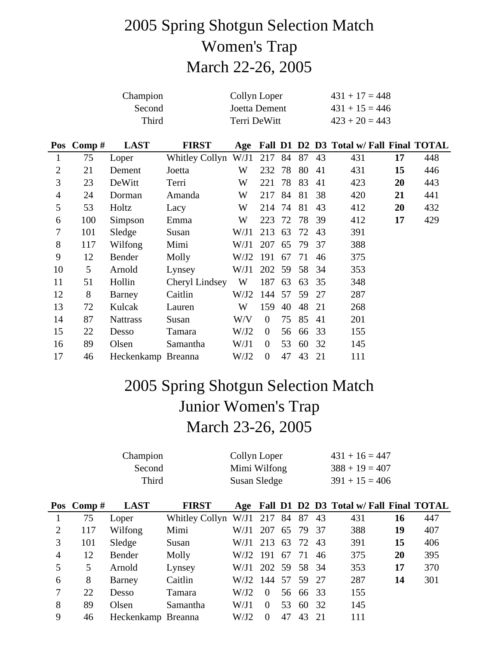## 2005 Spring Shotgun Selection Match Women's Trap March 22-26, 2005

|                |           | Collyn Loper<br>Joetta Dement |                       |              |                  |    | $431 + 17 = 448$<br>$431 + 15 = 446$ |    |                                             |    |     |
|----------------|-----------|-------------------------------|-----------------------|--------------|------------------|----|--------------------------------------|----|---------------------------------------------|----|-----|
|                |           | Third                         |                       | Terri DeWitt |                  |    |                                      |    | $423 + 20 = 443$                            |    |     |
|                | Pos Comp# | <b>LAST</b>                   | <b>FIRST</b>          |              |                  |    |                                      |    | Age Fall D1 D2 D3 Total w/ Fall Final TOTAL |    |     |
| 1              | 75        | Loper                         | <b>Whitley Collyn</b> | W/J1         | 217              | 84 | 87                                   | 43 | 431                                         | 17 | 448 |
| $\overline{2}$ | 21        | Dement                        | Joetta                | W            | 232              | 78 | 80                                   | 41 | 431                                         | 15 | 446 |
| 3              | 23        | DeWitt                        | Terri                 | W            | 221              | 78 | 83                                   | 41 | 423                                         | 20 | 443 |
| $\overline{4}$ | 24        | Dorman                        | Amanda                | W            | 217              | 84 | 81                                   | 38 | 420                                         | 21 | 441 |
| 5              | 53        | Holtz                         | Lacy                  | W            | 214              | 74 | 81                                   | 43 | 412                                         | 20 | 432 |
| 6              | 100       | Simpson                       | Emma                  | W            | 223              | 72 | 78                                   | 39 | 412                                         | 17 | 429 |
| 7              | 101       | Sledge                        | Susan                 | W/J1         | 213              | 63 | 72                                   | 43 | 391                                         |    |     |
| 8              | 117       | Wilfong                       | Mimi                  | W/J1         | 207              | 65 | 79                                   | 37 | 388                                         |    |     |
| 9              | 12        | Bender                        | Molly                 | W/J2         | 191              | 67 | 71                                   | 46 | 375                                         |    |     |
| 10             | 5         | Arnold                        | Lynsey                | W/J1         | 202              | 59 | 58                                   | 34 | 353                                         |    |     |
| 11             | 51        | Hollin                        | Cheryl Lindsey        | W            | 187              | 63 | 63                                   | 35 | 348                                         |    |     |
| 12             | 8         | Barney                        | Caitlin               | W/J2         | 144              | 57 | 59                                   | 27 | 287                                         |    |     |
| 13             | 72        | Kulcak                        | Lauren                | W            | 159              | 40 | 48                                   | 21 | 268                                         |    |     |
| 14             | 87        | <b>Nattrass</b>               | Susan                 | W/V          | $\boldsymbol{0}$ | 75 | 85                                   | 41 | 201                                         |    |     |
| 15             | 22        | Desso                         | Tamara                | W/J2         | $\theta$         | 56 | 66                                   | 33 | 155                                         |    |     |
| 16             | 89        | Olsen                         | Samantha              | W/J1         | $\boldsymbol{0}$ | 53 | 60                                   | 32 | 145                                         |    |     |
| 17             | 46        | Heckenkamp Breanna            |                       | W/J2         | $\boldsymbol{0}$ | 47 | 43                                   | 21 | 111                                         |    |     |

## 2005 Spring Shotgun Selection Match Junior Women's Trap March 23-26, 2005

|                |           | Collyn Loper<br>Mimi Wilfong<br>Susan Sledge |                |      |                |    | $431 + 16 = 447$<br>$388 + 19 = 407$<br>$391 + 15 = 406$ |    |                                         |    |     |
|----------------|-----------|----------------------------------------------|----------------|------|----------------|----|----------------------------------------------------------|----|-----------------------------------------|----|-----|
|                | Pos Comp# | <b>LAST</b>                                  | <b>FIRST</b>   | Age  |                |    |                                                          |    | Fall D1 D2 D3 Total w/ Fall Final TOTAL |    |     |
| 1              | 75        | Loper                                        | Whitley Collyn | W/J1 | 217            | 84 | 87                                                       | 43 | 431                                     | 16 | 447 |
| $\overline{2}$ | 117       | Wilfong                                      | Mimi           | W/J1 | 207            | 65 | 79                                                       | 37 | 388                                     | 19 | 407 |
| 3              | 101       | Sledge                                       | Susan          | W/J1 | 213            | 63 | 72                                                       | 43 | 391                                     | 15 | 406 |
| 4              | 12        | Bender                                       | Molly          | W/J2 | 191            | 67 | 71                                                       | 46 | 375                                     | 20 | 395 |
| 5              | 5         | Arnold                                       | Lynsey         | W/J1 | 202 59         |    | 58 34                                                    |    | 353                                     | 17 | 370 |
| 6              | 8         | Barney                                       | Caitlin        | W/J2 | 144            | 57 | 59 27                                                    |    | 287                                     | 14 | 301 |
|                | 22        | Desso                                        | Tamara         | W/J2 | $\overline{0}$ |    | 56 66 33                                                 |    | 155                                     |    |     |
| 8              | 89        | Olsen                                        | Samantha       | W/J1 | $\theta$       | 53 | 60                                                       | 32 | 145                                     |    |     |
| 9              | 46        | Heckenkamp Breanna                           |                | W/J2 | $\Omega$       | 47 | 43                                                       | 21 | 111                                     |    |     |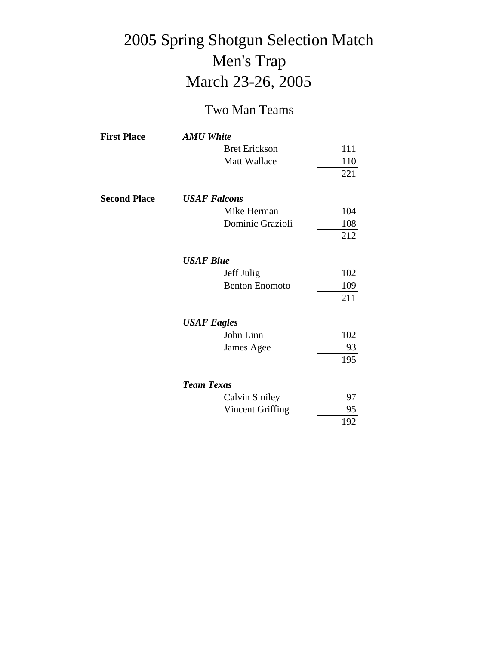## 2005 Spring Shotgun Selection Match Men's Trap March 23-26, 2005

#### Two Man Teams

| <b>First Place</b>  | <b>AMU</b> White      |     |
|---------------------|-----------------------|-----|
|                     | <b>Bret Erickson</b>  | 111 |
|                     | <b>Matt Wallace</b>   | 110 |
|                     |                       | 221 |
| <b>Second Place</b> | <b>USAF Falcons</b>   |     |
|                     | Mike Herman           | 104 |
|                     | Dominic Grazioli      | 108 |
|                     |                       | 212 |
|                     | <b>USAF Blue</b>      |     |
|                     | Jeff Julig            | 102 |
|                     | <b>Benton Enomoto</b> | 109 |
|                     |                       | 211 |
|                     | <b>USAF</b> Eagles    |     |
|                     | John Linn             | 102 |
|                     | James Agee            | 93  |
|                     |                       | 195 |
|                     | <b>Team Texas</b>     |     |
|                     | <b>Calvin Smiley</b>  | 97  |
|                     | Vincent Griffing      | 95  |
|                     |                       | 192 |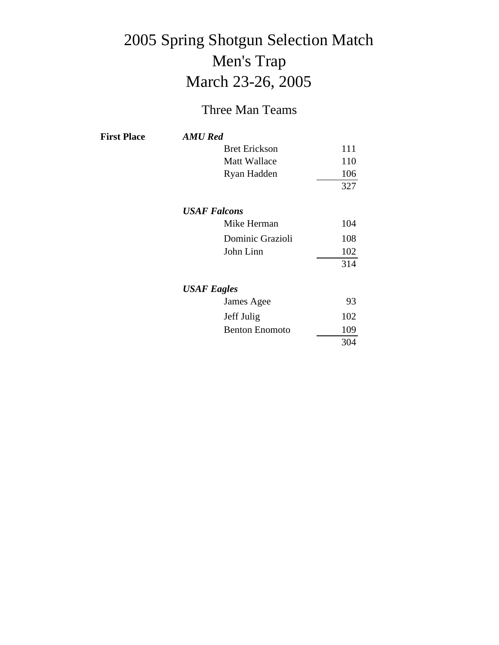# 2005 Spring Shotgun Selection Match Men's Trap March 23-26, 2005

#### Three Man Teams

| <b>First Place</b> | <b>AMU</b> Red        |     |
|--------------------|-----------------------|-----|
|                    | <b>Bret Erickson</b>  | 111 |
|                    | <b>Matt Wallace</b>   | 110 |
|                    | Ryan Hadden           | 106 |
|                    |                       | 327 |
|                    | <b>USAF Falcons</b>   |     |
|                    | Mike Herman           | 104 |
|                    | Dominic Grazioli      | 108 |
|                    | John Linn             | 102 |
|                    |                       | 314 |
|                    | <b>USAF</b> Eagles    |     |
|                    | James Agee            | 93  |
|                    | Jeff Julig            | 102 |
|                    | <b>Benton Enomoto</b> | 109 |
|                    |                       | 304 |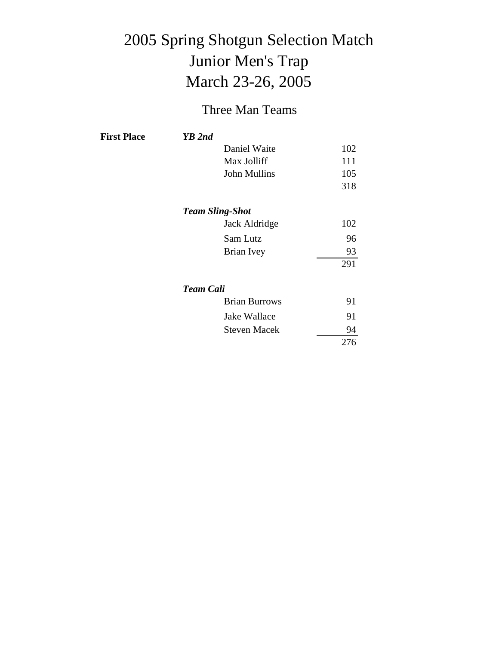# 2005 Spring Shotgun Selection Match Junior Men's Trap March 23-26, 2005

#### Three Man Teams

| <b>First Place</b> | YB 2nd           |                        |     |
|--------------------|------------------|------------------------|-----|
|                    |                  | Daniel Waite           | 102 |
|                    |                  | Max Jolliff            | 111 |
|                    |                  | John Mullins           | 105 |
|                    |                  |                        | 318 |
|                    |                  | <b>Team Sling-Shot</b> |     |
|                    |                  | Jack Aldridge          | 102 |
|                    |                  | Sam Lutz               | 96  |
|                    |                  | Brian Ivey             | 93  |
|                    |                  |                        | 291 |
|                    | <b>Team Cali</b> |                        |     |
|                    |                  | <b>Brian Burrows</b>   | 91  |
|                    |                  | Jake Wallace           | 91  |
|                    |                  | <b>Steven Macek</b>    | 94  |
|                    |                  |                        | 276 |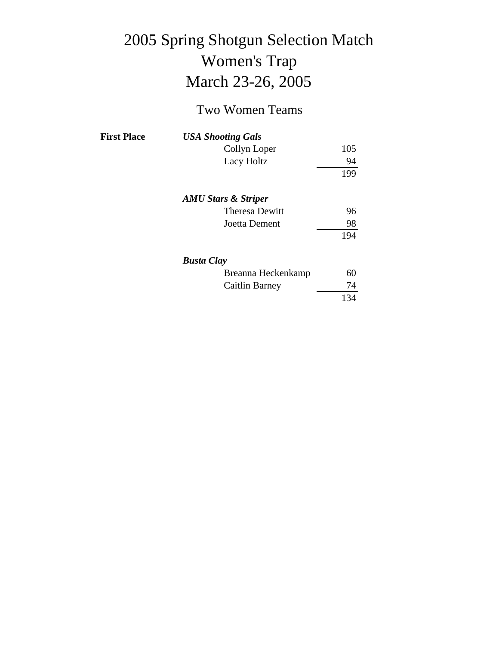# 2005 Spring Shotgun Selection Match Women's Trap March 23-26, 2005

#### Two Women Teams

| <b>First Place</b> | <b>USA Shooting Gals</b>       |     |
|--------------------|--------------------------------|-----|
|                    | Collyn Loper                   | 105 |
|                    | Lacy Holtz                     | 94  |
|                    |                                | 199 |
|                    | <b>AMU Stars &amp; Striper</b> |     |
|                    | <b>Theresa Dewitt</b>          | 96  |
|                    | Joetta Dement                  | 98  |
|                    |                                | 194 |
|                    | <b>Busta Clay</b>              |     |
|                    | Breanna Heckenkamp             | 60  |
|                    | <b>Caitlin Barney</b>          | 74  |
|                    |                                | 134 |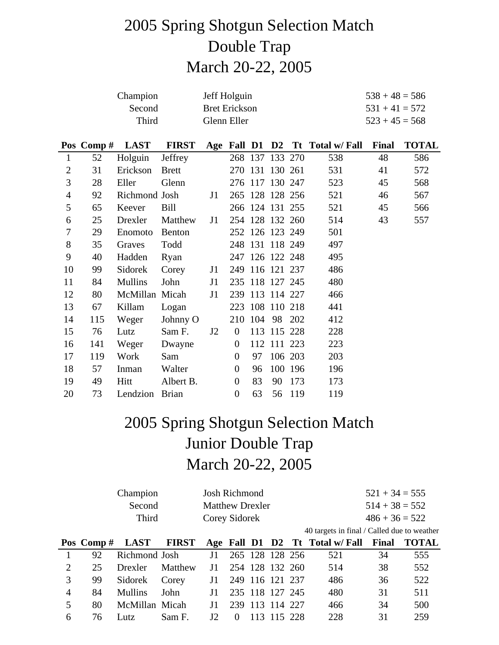## 2005 Spring Shotgun Selection Match Double Trap March 20-22, 2005

| Champion | Jeff Holguin         | $538 + 48 = 586$ |
|----------|----------------------|------------------|
| Second   | <b>Bret Erickson</b> | $531 + 41 = 572$ |
| Third    | Glenn Eller          | $523 + 45 = 568$ |

|                |     | Pos Comp # $\text{LAST}$ | <b>FIRST</b> |    |                  |    |                 |         | Age Fall D1 D2 Tt Total w/ Fall | <b>Final</b> | <b>TOTAL</b> |
|----------------|-----|--------------------------|--------------|----|------------------|----|-----------------|---------|---------------------------------|--------------|--------------|
| 1              | 52  | Holguin                  | Jeffrey      |    |                  |    | 268 137 133 270 |         | 538                             | 48           | 586          |
| $\overline{2}$ | 31  | Erickson                 | Brett        |    |                  |    | 270 131 130 261 |         | 531                             | 41           | 572          |
| 3              | 28  | Eller                    | Glenn        |    |                  |    | 276 117 130 247 |         | 523                             | 45           | 568          |
| $\overline{4}$ | 92  | Richmond Josh            |              | J1 |                  |    | 265 128 128 256 |         | 521                             | 46           | 567          |
| 5              | 65  | Keever                   | Bill         |    |                  |    | 266 124 131 255 |         | 521                             | 45           | 566          |
| 6              | 25  | Drexler                  | Matthew      | J1 |                  |    | 254 128 132 260 |         | 514                             | 43           | 557          |
| 7              | 29  | Enomoto                  | Benton       |    |                  |    | 252 126 123 249 |         | 501                             |              |              |
| 8              | 35  | Graves                   | Todd         |    |                  |    | 248 131 118 249 |         | 497                             |              |              |
| 9              | 40  | Hadden                   | Ryan         |    |                  |    | 247 126 122 248 |         | 495                             |              |              |
| 10             | 99  | Sidorek                  | Corey        | J1 |                  |    | 249 116 121 237 |         | 486                             |              |              |
| 11             | 84  | <b>Mullins</b>           | John         | J1 |                  |    | 235 118 127 245 |         | 480                             |              |              |
| 12             | 80  | McMillan Micah           |              | J1 |                  |    | 239 113 114 227 |         | 466                             |              |              |
| 13             | 67  | Killam                   | Logan        |    |                  |    | 223 108 110 218 |         | 441                             |              |              |
| 14             | 115 | Weger                    | Johnny O     |    |                  |    | 210 104 98 202  |         | 412                             |              |              |
| 15             | 76  | Lutz                     | Sam F.       | J2 | $\overline{0}$   |    | 113 115 228     |         | 228                             |              |              |
| 16             | 141 | Weger                    | Dwayne       |    | $\mathbf{0}$     |    | 112 111 223     |         | 223                             |              |              |
| 17             | 119 | Work                     | Sam          |    | $\overline{0}$   | 97 |                 | 106 203 | 203                             |              |              |
| 18             | 57  | Inman                    | Walter       |    | $\mathbf{0}$     | 96 |                 | 100 196 | 196                             |              |              |
| 19             | 49  | Hitt                     | Albert B.    |    | $\overline{0}$   | 83 | 90              | 173     | 173                             |              |              |
| 20             | 73  | Lendzion                 | <b>Brian</b> |    | $\boldsymbol{0}$ | 63 |                 | 56 119  | 119                             |              |              |

## 2005 Spring Shotgun Selection Match Junior Double Trap March 20-22, 2005

|          | Champion      | Josh Richmond          |  |  |                                                                   | $521 + 34 = 555$ |     |
|----------|---------------|------------------------|--|--|-------------------------------------------------------------------|------------------|-----|
|          | Second        | <b>Matthew Drexler</b> |  |  |                                                                   | $514 + 38 = 552$ |     |
|          | Third         | Corey Sidorek          |  |  |                                                                   | $486 + 36 = 522$ |     |
|          |               |                        |  |  | 40 targets in final / Called due to weather                       |                  |     |
|          |               |                        |  |  | Pos Comp # LAST FIRST Age Fall D1 D2 Tt Total w/ Fall Final TOTAL |                  |     |
| $\Omega$ | Richmond Losh |                        |  |  | $11$ $265$ $128$ $128$ $256$ $521$                                | 34               | 555 |

|                | 1 92 Richmond Josh J1 265 128 128 256 |  |  |  | 521 | 34 | 555 |
|----------------|---------------------------------------|--|--|--|-----|----|-----|
| 2              | 25 Drexler Matthew J1 254 128 132 260 |  |  |  | 514 | 38 | 552 |
| 3              | 99 Sidorek Corey 11 249 116 121 237   |  |  |  | 486 | 36 | 522 |
| $\overline{4}$ | 84 Mullins John J1 235 118 127 245    |  |  |  | 480 | 31 | 511 |
| 5 <sup>7</sup> | 80 McMillan Micah 11 239 113 114 227  |  |  |  | 466 | 34 | 500 |
|                | 6 76 Lutz Sam F. J2 0 113 115 228     |  |  |  | 228 | 31 | 259 |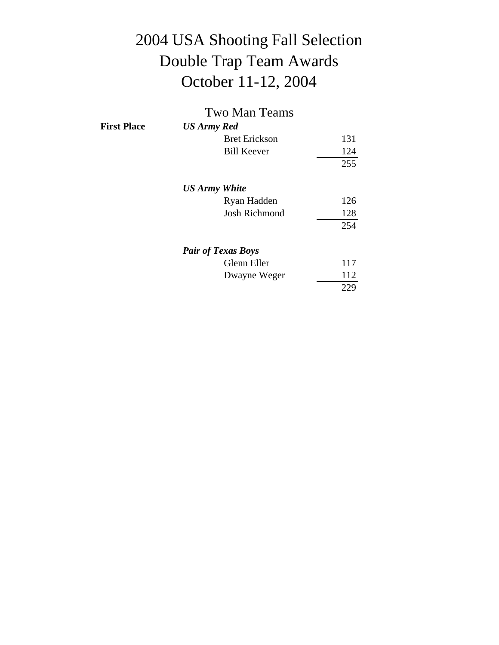# 2004 USA Shooting Fall Selection Double Trap Team Awards October 11-12, 2004

|                    | <b>Two Man Teams</b>      |     |
|--------------------|---------------------------|-----|
| <b>First Place</b> | US Army Red               |     |
|                    | <b>Bret Erickson</b>      | 131 |
|                    | <b>Bill Keever</b>        | 124 |
|                    |                           | 255 |
|                    | <b>US Army White</b>      |     |
|                    | Ryan Hadden               | 126 |
|                    | <b>Josh Richmond</b>      | 128 |
|                    |                           | 254 |
|                    | <b>Pair of Texas Boys</b> |     |
|                    | Glenn Eller               | 117 |
|                    | Dwayne Weger              | 112 |
|                    |                           | 229 |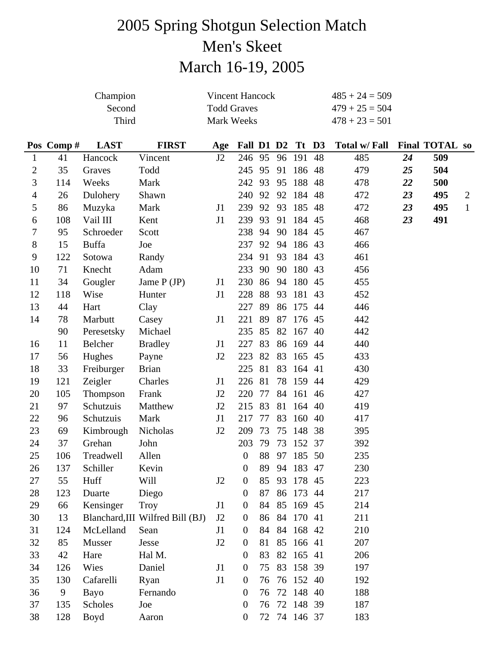# 2005 Spring Shotgun Selection Match Men's Skeet March 16-19, 2005

|                |           | Champion     |                                  | <b>Vincent Hancock</b> |                  |    |    |              |    | $485 + 24 = 509$ |    |                       |                |
|----------------|-----------|--------------|----------------------------------|------------------------|------------------|----|----|--------------|----|------------------|----|-----------------------|----------------|
|                |           | Second       |                                  | <b>Todd Graves</b>     |                  |    |    |              |    | $479 + 25 = 504$ |    |                       |                |
|                |           | Third        |                                  | Mark Weeks             |                  |    |    |              |    | $478 + 23 = 501$ |    |                       |                |
|                | Pos Comp# | <b>LAST</b>  | <b>FIRST</b>                     | Age                    | Fall D1 D2       |    |    | Tt D3        |    | Total w/ Fall    |    | <b>Final TOTAL so</b> |                |
| $\mathbf{1}$   | 41        | Hancock      | Vincent                          | J2                     | 246 95           |    | 96 | 191          | 48 | 485              | 24 | 509                   |                |
| 2              | 35        | Graves       | Todd                             |                        | 245              | 95 | 91 | 186          | 48 | 479              | 25 | 504                   |                |
| 3              | 114       | Weeks        | Mark                             |                        | 242              | 93 | 95 | 188          | 48 | 478              | 22 | 500                   |                |
| $\overline{4}$ | 26        | Dulohery     | Shawn                            |                        | 240              | 92 | 92 | 184          | 48 | 472              | 23 | 495                   | $\overline{2}$ |
| 5              | 86        | Muzyka       | Mark                             | J1                     | 239              | 92 | 93 | 185          | 48 | 472              | 23 | 495                   | $\mathbf{1}$   |
| 6              | 108       | Vail III     | Kent                             | J1                     | 239              | 93 | 91 | 184          | 45 | 468              | 23 | 491                   |                |
| 7              | 95        | Schroeder    | Scott                            |                        | 238              | 94 | 90 | 184          | 45 | 467              |    |                       |                |
| 8              | 15        | <b>Buffa</b> | Joe                              |                        | 237              | 92 | 94 | 186 43       |    | 466              |    |                       |                |
| 9              | 122       | Sotowa       | Randy                            |                        | 234              | 91 | 93 | 184          | 43 | 461              |    |                       |                |
| 10             | 71        | Knecht       | Adam                             |                        | 233              | 90 | 90 | 180          | 43 | 456              |    |                       |                |
| 11             | 34        | Gougler      | Jame $P(JP)$                     | J1                     | 230              | 86 | 94 | 180          | 45 | 455              |    |                       |                |
| 12             | 118       | Wise         | Hunter                           | J1                     | 228              | 88 | 93 | 181          | 43 | 452              |    |                       |                |
| 13             | 44        | Hart         | Clay                             |                        | 227              | 89 | 86 | 175          | 44 | 446              |    |                       |                |
| 14             | 78        | Marbutt      | Casey                            | J1                     | 221              | 89 | 87 | 176          | 45 | 442              |    |                       |                |
|                | 90        | Peresetsky   | Michael                          |                        | 235              | 85 | 82 | 167          | 40 | 442              |    |                       |                |
| 16             | 11        | Belcher      | <b>Bradley</b>                   | J1                     | 227              | 83 | 86 | 169          | 44 | 440              |    |                       |                |
| 17             | 56        | Hughes       | Payne                            | J <sub>2</sub>         | 223              | 82 | 83 | 165 45       |    | 433              |    |                       |                |
| 18             | 33        | Freiburger   | <b>Brian</b>                     |                        | 225              | 81 | 83 | 164          | 41 | 430              |    |                       |                |
| 19             | 121       | Zeigler      | Charles                          | J1                     | 226              | 81 | 78 | 159          | 44 | 429              |    |                       |                |
| 20             | 105       | Thompson     | Frank                            | J2                     | 220              | 77 | 84 | 161          | 46 | 427              |    |                       |                |
| 21             | 97        | Schutzuis    | Matthew                          | J2                     | 215              | 83 | 81 | 164          | 40 | 419              |    |                       |                |
| 22             | 96        | Schutzuis    | Mark                             | J1                     | 217              | 77 | 83 | 160          | 40 | 417              |    |                       |                |
| 23             | 69        | Kimbrough    | Nicholas                         | J2                     | 209              | 73 | 75 | 148 38       |    | 395              |    |                       |                |
| 24             | 37        | Grehan       | John                             |                        | 203              | 79 |    | 73 152 37    |    | 392              |    |                       |                |
| 25             | 106       | Treadwell    | Allen                            |                        | $\overline{0}$   |    |    | 88 97 185 50 |    | 235              |    |                       |                |
| 26             | 137       | Schiller     | Kevin                            |                        | $\boldsymbol{0}$ | 89 |    | 94 183 47    |    | 230              |    |                       |                |
| 27             | 55        | Huff         | Will                             | J2                     | $\overline{0}$   | 85 | 93 | 178 45       |    | 223              |    |                       |                |
| 28             | 123       | Duarte       | Diego                            |                        | $\boldsymbol{0}$ | 87 | 86 | 173 44       |    | 217              |    |                       |                |
| 29             | 66        | Kensinger    | <b>Troy</b>                      | J1                     | $\overline{0}$   | 84 | 85 | 169 45       |    | 214              |    |                       |                |
| 30             | 13        |              | Blanchard, III Wilfred Bill (BJ) | J <sub>2</sub>         | $\overline{0}$   | 86 | 84 | 170 41       |    | 211              |    |                       |                |
| 31             | 124       | McLelland    | Sean                             | J <sub>1</sub>         | $\overline{0}$   | 84 | 84 | 168 42       |    | 210              |    |                       |                |
| 32             | 85        | Musser       | Jesse                            | J2                     | $\boldsymbol{0}$ | 81 | 85 | 166 41       |    | 207              |    |                       |                |
| 33             | 42        | Hare         | Hal M.                           |                        | $\theta$         | 83 | 82 | 165 41       |    | 206              |    |                       |                |
| 34             | 126       | Wies         | Daniel                           | J1                     | $\overline{0}$   | 75 | 83 | 158 39       |    | 197              |    |                       |                |
| 35             | 130       | Cafarelli    | Ryan                             | J1                     | $\boldsymbol{0}$ | 76 | 76 | 152 40       |    | 192              |    |                       |                |
| 36             | 9         | Bayo         | Fernando                         |                        | $\boldsymbol{0}$ | 76 |    | 72 148 40    |    | 188              |    |                       |                |
| 37             | 135       | Scholes      | Joe                              |                        | $\overline{0}$   | 76 |    | 72 148 39    |    | 187              |    |                       |                |
| 38             | 128       | Boyd         | Aaron                            |                        | $\mathbf{0}$     | 72 |    | 74 146 37    |    | 183              |    |                       |                |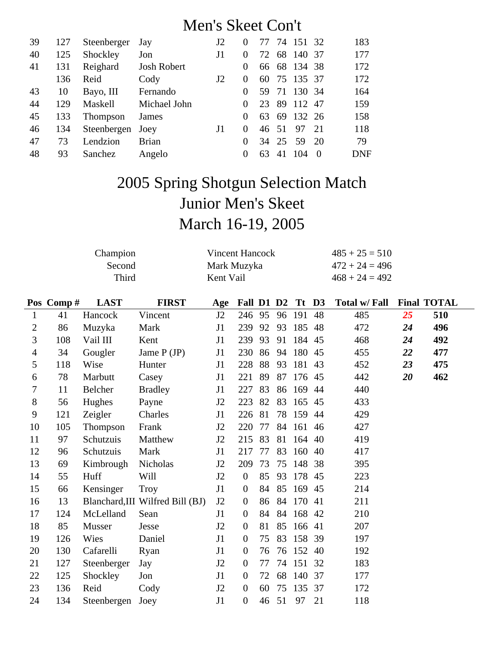### Men's Skeet Con't

| 39 | 127 | Steenberger     | Jay                | J2             | $\theta$ | 77 |       | 74 151 32    |     | 183 |
|----|-----|-----------------|--------------------|----------------|----------|----|-------|--------------|-----|-----|
| 40 | 125 | Shockley        | Jon                | J1             | $\Omega$ | 72 | 68    | 140 37       |     | 177 |
| 41 | 131 | Reighard        | <b>Josh Robert</b> |                | $\theta$ |    |       | 66 68 134 38 |     | 172 |
|    | 136 | Reid            | Cody               | J <sub>2</sub> | $\theta$ |    |       | 60 75 135 37 |     | 172 |
| 43 | 10  | Bayo, III       | Fernando           |                | $\theta$ | 59 | - 71  | 130 34       |     | 164 |
| 44 | 129 | Maskell         | Michael John       |                | $\Omega$ | 23 | 89    | 112          | 47  | 159 |
| 45 | 133 | <b>Thompson</b> | James              |                | 0        | 63 |       | 69 132 26    |     | 158 |
| 46 | 134 | Steenbergen     | Joey               | J1             | $\Omega$ |    | 46 51 | 97           | 2.1 | 118 |
| 47 | 73  | Lendzion        | <b>Brian</b>       |                | $\Omega$ |    | 34 25 | .59          | -20 | 79  |
| 48 | 93  | Sanchez         | Angelo             |                | $\theta$ | 63 | 41    | 104          |     | DNF |

# 2005 Spring Shotgun Selection Match Junior Men's Skeet March 16-19, 2005

| Champion | Vincent Hancock | $485 + 25 = 510$ |
|----------|-----------------|------------------|
| Second   | Mark Muzyka     | $472 + 24 = 496$ |
| Third    | Kent Vail       | $468 + 24 = 492$ |

|                | Pos Comp# | <b>LAST</b>   | <b>FIRST</b>                     | Age            | Fall D1 D2       |    |    | Tt D3     |    | Total w/ Fall |    | <b>Final TOTAL</b> |
|----------------|-----------|---------------|----------------------------------|----------------|------------------|----|----|-----------|----|---------------|----|--------------------|
| $\mathbf{1}$   | 41        | Hancock       | Vincent                          | J <sub>2</sub> | 246 95           |    | 96 | 191       | 48 | 485           | 25 | 510                |
| $\overline{2}$ | 86        | Muzyka        | Mark                             | J1             | 239              | 92 | 93 | 185       | 48 | 472           | 24 | 496                |
| 3              | 108       | Vail III      | Kent                             | J1             | 239              | 93 | 91 | 184 45    |    | 468           | 24 | 492                |
| 4              | 34        | Gougler       | Jame $P(JP)$                     | J1             | 230              | 86 | 94 | 180       | 45 | 455           | 22 | 477                |
| 5              | 118       | Wise          | Hunter                           | J1             | 228              | 88 | 93 | 181 43    |    | 452           | 23 | 475                |
| 6              | 78        | Marbutt       | Casey                            | J1             | 221              | 89 | 87 | 176 45    |    | 442           | 20 | 462                |
| 7              | 11        | Belcher       | <b>Bradley</b>                   | J1             | 227              | 83 | 86 | 169 44    |    | 440           |    |                    |
| 8              | 56        | Hughes        | Payne                            | J <sub>2</sub> | 223              | 82 | 83 | 165       | 45 | 433           |    |                    |
| 9              | 121       | Zeigler       | Charles                          | J1             | 226              | 81 | 78 | 159 44    |    | 429           |    |                    |
| 10             | 105       | Thompson      | Frank                            | J2             | 220              | 77 | 84 | 161 46    |    | 427           |    |                    |
| 11             | 97        | Schutzuis     | Matthew                          | J <sub>2</sub> | 215              | 83 | 81 | 164 40    |    | 419           |    |                    |
| 12             | 96        | Schutzuis     | Mark                             | J1             | 217              | 77 | 83 | 160       | 40 | 417           |    |                    |
| 13             | 69        | Kimbrough     | Nicholas                         | J <sub>2</sub> | 209              | 73 | 75 | 148 38    |    | 395           |    |                    |
| 14             | 55        | Huff          | Will                             | J <sub>2</sub> | $\overline{0}$   | 85 | 93 | 178       | 45 | 223           |    |                    |
| 15             | 66        | Kensinger     | Troy                             | J1             | $\overline{0}$   | 84 | 85 | 169       | 45 | 214           |    |                    |
| 16             | 13        |               | Blanchard, III Wilfred Bill (BJ) | J2             | $\boldsymbol{0}$ | 86 |    | 84 170 41 |    | 211           |    |                    |
| 17             | 124       | McLelland     | Sean                             | J1             | $\overline{0}$   | 84 | 84 | 168 42    |    | 210           |    |                    |
| 18             | 85        | <b>Musser</b> | Jesse                            | J <sub>2</sub> | $\boldsymbol{0}$ | 81 | 85 | 166 41    |    | 207           |    |                    |
| 19             | 126       | Wies          | Daniel                           | J1             | $\overline{0}$   | 75 | 83 | 158 39    |    | 197           |    |                    |
| 20             | 130       | Cafarelli     | Ryan                             | J1             | $\mathbf{0}$     | 76 |    | 76 152 40 |    | 192           |    |                    |
| 21             | 127       | Steenberger   | Jay                              | J2             | $\mathbf{0}$     | 77 | 74 | 151 32    |    | 183           |    |                    |
| 22             | 125       | Shockley      | Jon                              | J1             | $\mathbf{0}$     | 72 | 68 | 140       | 37 | 177           |    |                    |
| 23             | 136       | Reid          | Cody                             | J <sub>2</sub> | $\overline{0}$   | 60 | 75 | 135       | 37 | 172           |    |                    |
| 24             | 134       | Steenbergen   | Joey                             | J1             | $\boldsymbol{0}$ | 46 | 51 | 97        | 21 | 118           |    |                    |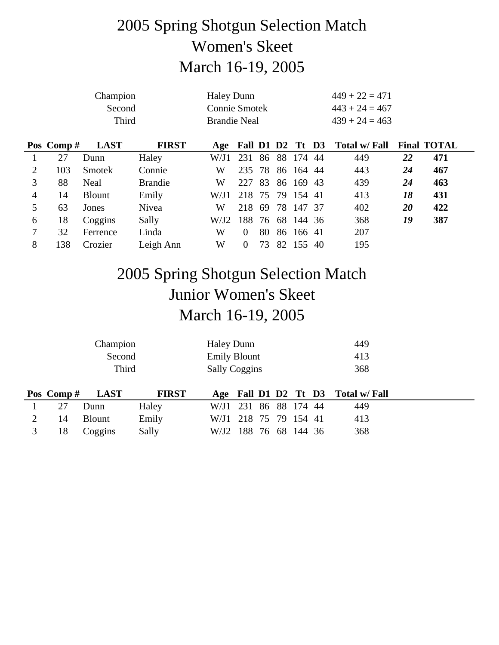## 2005 Spring Shotgun Selection Match Women's Skeet March 16-19, 2005

|                | Champion  |               |                |                      | <b>Haley Dunn</b> |    |    |           |    | $449 + 22 = 471$                  |    |                    |
|----------------|-----------|---------------|----------------|----------------------|-------------------|----|----|-----------|----|-----------------------------------|----|--------------------|
|                |           | Second        |                | <b>Connie Smotek</b> |                   |    |    |           |    | $443 + 24 = 467$                  |    |                    |
|                |           | Third         |                | <b>Brandie Neal</b>  |                   |    |    |           |    | $439 + 24 = 463$                  |    |                    |
|                | Pos Comp# | <b>LAST</b>   | <b>FIRST</b>   |                      |                   |    |    |           |    | Age Fall D1 D2 Tt D3 Total w/Fall |    | <b>Final TOTAL</b> |
|                | 27        | Dunn          | Haley          | W/J1                 | 231               | 86 |    | 88 174 44 |    | 449                               | 22 | 471                |
| $\overline{2}$ | 103       | <b>Smotek</b> | Connie         | W                    | 235 78            |    |    | 86 164 44 |    | 443                               | 24 | 467                |
| 3              | 88        | Neal          | <b>Brandie</b> | W                    | 227               | 83 |    | 86 169 43 |    | 439                               | 24 | 463                |
| 4              | 14        | <b>Blount</b> | Emily          | W/J1                 | 218 75 79 154 41  |    |    |           |    | 413                               | 18 | 431                |
| 5              | 63        | Jones         | Nivea          | W                    | 218               | 69 |    | 78 147 37 |    | 402                               | 20 | 422                |
| 6              | 18        | Coggins       | Sally          | W/J2                 | 188               | 76 |    | 68 144 36 |    | 368                               | 19 | 387                |
| 7              | 32        | Ferrence      | Linda          | W                    | $\Omega$          | 80 |    | 86 166 41 |    | 207                               |    |                    |
| 8              | 138       | Crozier       | Leigh Ann      | W                    | $\Omega$          | 73 | 82 | 155       | 40 | 195                               |    |                    |

## 2005 Spring Shotgun Selection Match Junior Women's Skeet March 16-19, 2005

|           | Champion      |              | <b>Haley Dunn</b>     |  |  |  |           | 449                               |  |
|-----------|---------------|--------------|-----------------------|--|--|--|-----------|-----------------------------------|--|
| Second    |               |              | <b>Emily Blount</b>   |  |  |  |           | 413                               |  |
| Third     |               |              | <b>Sally Coggins</b>  |  |  |  |           | 368                               |  |
|           |               |              |                       |  |  |  |           |                                   |  |
| Pos Comp# | <b>LAST</b>   | <b>FIRST</b> |                       |  |  |  |           | Age Fall D1 D2 Tt D3 Total w/Fall |  |
| 27        | Dunn          | Haley        | W/J1 231 86 88 174 44 |  |  |  |           | 449                               |  |
| 14        | <b>Blount</b> | Emily        | W/J1 218 75           |  |  |  | 79 154 41 | 413                               |  |